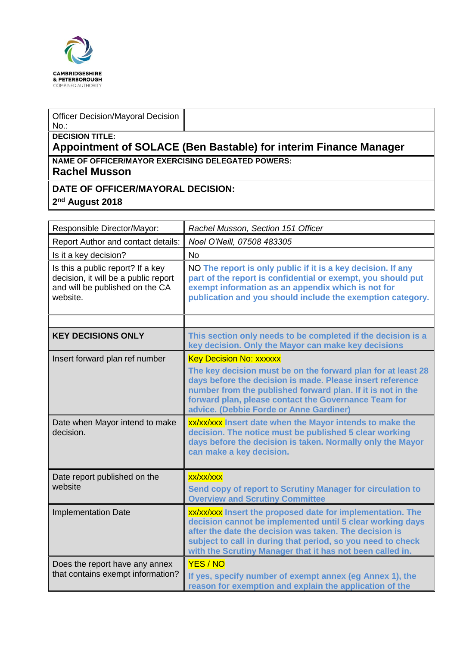

#### Officer Decision/Mayoral Decision No.:

### **DECISION TITLE:**

# **Appointment of SOLACE (Ben Bastable) for interim Finance Manager NAME OF OFFICER/MAYOR EXERCISING DELEGATED POWERS:**

### **Rachel Musson**

## **DATE OF OFFICER/MAYORAL DECISION:**

### **2 nd August 2018**

| Responsible Director/Mayor:                                                                                              | Rachel Musson, Section 151 Officer                                                                                                                                                                                                                                                                            |  |
|--------------------------------------------------------------------------------------------------------------------------|---------------------------------------------------------------------------------------------------------------------------------------------------------------------------------------------------------------------------------------------------------------------------------------------------------------|--|
| Report Author and contact details:                                                                                       | Noel O'Neill, 07508 483305                                                                                                                                                                                                                                                                                    |  |
| Is it a key decision?                                                                                                    | <b>No</b>                                                                                                                                                                                                                                                                                                     |  |
| Is this a public report? If a key<br>decision, it will be a public report<br>and will be published on the CA<br>website. | NO The report is only public if it is a key decision. If any<br>part of the report is confidential or exempt, you should put<br>exempt information as an appendix which is not for<br>publication and you should include the exemption category.                                                              |  |
|                                                                                                                          |                                                                                                                                                                                                                                                                                                               |  |
| <b>KEY DECISIONS ONLY</b>                                                                                                | This section only needs to be completed if the decision is a<br>key decision. Only the Mayor can make key decisions                                                                                                                                                                                           |  |
| Insert forward plan ref number                                                                                           | <b>Key Decision No: xxxxxx</b>                                                                                                                                                                                                                                                                                |  |
|                                                                                                                          | The key decision must be on the forward plan for at least 28<br>days before the decision is made. Please insert reference<br>number from the published forward plan. If it is not in the<br>forward plan, please contact the Governance Team for<br>advice. (Debbie Forde or Anne Gardiner)                   |  |
| Date when Mayor intend to make<br>decision.                                                                              | xx/xx/xxx Insert date when the Mayor intends to make the<br>decision. The notice must be published 5 clear working<br>days before the decision is taken. Normally only the Mayor<br>can make a key decision.                                                                                                  |  |
| Date report published on the<br>website                                                                                  | xx/xx/xxx<br>Send copy of report to Scrutiny Manager for circulation to<br><b>Overview and Scrutiny Committee</b>                                                                                                                                                                                             |  |
| <b>Implementation Date</b>                                                                                               | xx/xx/xxx Insert the proposed date for implementation. The<br>decision cannot be implemented until 5 clear working days<br>after the date the decision was taken. The decision is<br>subject to call in during that period, so you need to check<br>with the Scrutiny Manager that it has not been called in. |  |
| Does the report have any annex<br>that contains exempt information?                                                      | YES / NO<br>If yes, specify number of exempt annex (eg Annex 1), the<br>reason for exemption and explain the application of the                                                                                                                                                                               |  |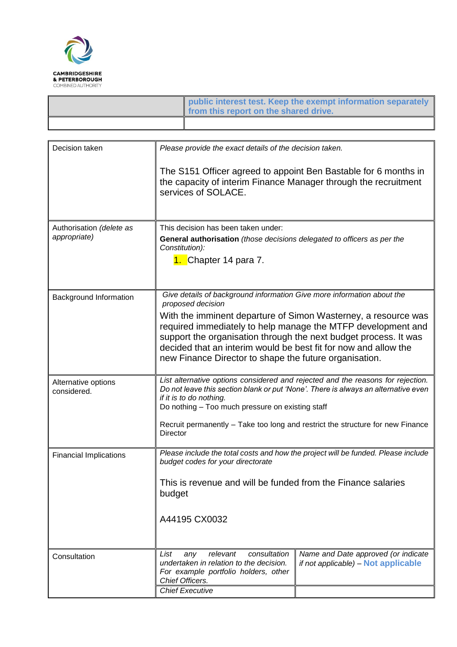

| public interest test. Keep the exempt information separately<br>from this report on the shared drive. |
|-------------------------------------------------------------------------------------------------------|
|                                                                                                       |

| Decision taken                           | Please provide the exact details of the decision taken.                                                                                                                                                                                                                                                                                                                                                                        |                                                                            |  |  |
|------------------------------------------|--------------------------------------------------------------------------------------------------------------------------------------------------------------------------------------------------------------------------------------------------------------------------------------------------------------------------------------------------------------------------------------------------------------------------------|----------------------------------------------------------------------------|--|--|
|                                          | The S151 Officer agreed to appoint Ben Bastable for 6 months in<br>the capacity of interim Finance Manager through the recruitment<br>services of SOLACE.                                                                                                                                                                                                                                                                      |                                                                            |  |  |
| Authorisation (delete as<br>appropriate) | This decision has been taken under:<br>General authorisation (those decisions delegated to officers as per the<br>Constitution):<br>1. Chapter 14 para 7.                                                                                                                                                                                                                                                                      |                                                                            |  |  |
| Background Information                   | Give details of background information Give more information about the<br>proposed decision<br>With the imminent departure of Simon Wasterney, a resource was<br>required immediately to help manage the MTFP development and<br>support the organisation through the next budget process. It was<br>decided that an interim would be best fit for now and allow the<br>new Finance Director to shape the future organisation. |                                                                            |  |  |
| Alternative options<br>considered.       | List alternative options considered and rejected and the reasons for rejection.<br>Do not leave this section blank or put 'None'. There is always an alternative even<br>if it is to do nothing.<br>Do nothing - Too much pressure on existing staff<br>Recruit permanently - Take too long and restrict the structure for new Finance<br>Director                                                                             |                                                                            |  |  |
| <b>Financial Implications</b>            | Please include the total costs and how the project will be funded. Please include<br>budget codes for your directorate<br>This is revenue and will be funded from the Finance salaries<br>budget<br>A44195 CX0032                                                                                                                                                                                                              |                                                                            |  |  |
| Consultation                             | List<br>relevant<br>consultation<br>any<br>undertaken in relation to the decision.<br>For example portfolio holders, other<br>Chief Officers.<br><b>Chief Executive</b>                                                                                                                                                                                                                                                        | Name and Date approved (or indicate<br>if not applicable) - Not applicable |  |  |